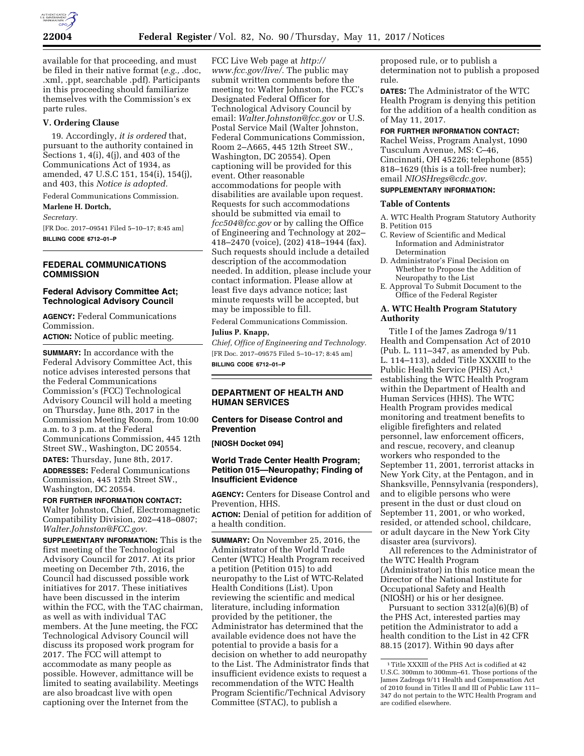

available for that proceeding, and must be filed in their native format (*e.g.,* .doc, .xml, .ppt, searchable .pdf). Participants in this proceeding should familiarize themselves with the Commission's ex parte rules.

#### **V. Ordering Clause**

19. Accordingly, *it is ordered* that, pursuant to the authority contained in Sections 1, 4(i), 4(j), and 403 of the Communications Act of 1934, as amended, 47 U.S.C 151, 154(i), 154(j), and 403, this *Notice is adopted.* 

Federal Communications Commission.

# **Marlene H. Dortch,**

*Secretary.* 

[FR Doc. 2017–09541 Filed 5–10–17; 8:45 am] **BILLING CODE 6712–01–P** 

## **FEDERAL COMMUNICATIONS COMMISSION**

#### **Federal Advisory Committee Act; Technological Advisory Council**

**AGENCY:** Federal Communications Commission.

**ACTION:** Notice of public meeting.

**SUMMARY:** In accordance with the Federal Advisory Committee Act, this notice advises interested persons that the Federal Communications Commission's (FCC) Technological Advisory Council will hold a meeting on Thursday, June 8th, 2017 in the Commission Meeting Room, from 10:00 a.m. to 3 p.m. at the Federal Communications Commission, 445 12th Street SW., Washington, DC 20554.

**DATES:** Thursday, June 8th, 2017. **ADDRESSES:** Federal Communications Commission, 445 12th Street SW., Washington, DC 20554.

#### **FOR FURTHER INFORMATION CONTACT:**

Walter Johnston, Chief, Electromagnetic Compatibility Division, 202–418–0807; *[Walter.Johnston@FCC.gov.](mailto:Walter.Johnston@FCC.gov)* 

**SUPPLEMENTARY INFORMATION:** This is the first meeting of the Technological Advisory Council for 2017. At its prior meeting on December 7th, 2016, the Council had discussed possible work initiatives for 2017. These initiatives have been discussed in the interim within the FCC, with the TAC chairman, as well as with individual TAC members. At the June meeting, the FCC Technological Advisory Council will discuss its proposed work program for 2017. The FCC will attempt to accommodate as many people as possible. However, admittance will be limited to seating availability. Meetings are also broadcast live with open captioning over the Internet from the

FCC Live Web page at *[http://](http://www.fcc.gov/live/) [www.fcc.gov/live/.](http://www.fcc.gov/live/)* The public may submit written comments before the meeting to: Walter Johnston, the FCC's Designated Federal Officer for Technological Advisory Council by email: *[Walter.Johnston@fcc.gov](mailto:Walter.Johnston@fcc.gov)* or U.S. Postal Service Mail (Walter Johnston, Federal Communications Commission, Room 2–A665, 445 12th Street SW., Washington, DC 20554). Open captioning will be provided for this event. Other reasonable accommodations for people with disabilities are available upon request. Requests for such accommodations should be submitted via email to *[fcc504@fcc.gov](mailto:fcc504@fcc.gov)* or by calling the Office of Engineering and Technology at 202– 418–2470 (voice), (202) 418–1944 (fax). Such requests should include a detailed description of the accommodation needed. In addition, please include your contact information. Please allow at least five days advance notice; last minute requests will be accepted, but may be impossible to fill.

Federal Communications Commission.

## **Julius P. Knapp,**

*Chief, Office of Engineering and Technology.*  [FR Doc. 2017–09575 Filed 5–10–17; 8:45 am] **BILLING CODE 6712–01–P** 

## **DEPARTMENT OF HEALTH AND HUMAN SERVICES**

## **Centers for Disease Control and Prevention**

**[NIOSH Docket 094]** 

## **World Trade Center Health Program; Petition 015—Neuropathy; Finding of Insufficient Evidence**

**AGENCY:** Centers for Disease Control and Prevention, HHS.

**ACTION:** Denial of petition for addition of a health condition.

**SUMMARY:** On November 25, 2016, the Administrator of the World Trade Center (WTC) Health Program received a petition (Petition 015) to add neuropathy to the List of WTC-Related Health Conditions (List). Upon reviewing the scientific and medical literature, including information provided by the petitioner, the Administrator has determined that the available evidence does not have the potential to provide a basis for a decision on whether to add neuropathy to the List. The Administrator finds that insufficient evidence exists to request a recommendation of the WTC Health Program Scientific/Technical Advisory Committee (STAC), to publish a

proposed rule, or to publish a determination not to publish a proposed rule.

**DATES:** The Administrator of the WTC Health Program is denying this petition for the addition of a health condition as of May 11, 2017.

# **FOR FURTHER INFORMATION CONTACT:**

Rachel Weiss, Program Analyst, 1090 Tusculum Avenue, MS: C–46, Cincinnati, OH 45226; telephone (855) 818–1629 (this is a toll-free number); email *[NIOSHregs@cdc.gov](mailto:NIOSHregs@cdc.gov)*.

# **SUPPLEMENTARY INFORMATION:**

#### **Table of Contents**

A. WTC Health Program Statutory Authority B. Petition 015

- C. Review of Scientific and Medical Information and Administrator Determination
- D. Administrator's Final Decision on Whether to Propose the Addition of Neuropathy to the List
- E. Approval To Submit Document to the Office of the Federal Register

## **A. WTC Health Program Statutory Authority**

Title I of the James Zadroga 9/11 Health and Compensation Act of 2010 (Pub. L. 111–347, as amended by Pub. L. 114–113), added Title XXXIII to the Public Health Service (PHS) Act,1 establishing the WTC Health Program within the Department of Health and Human Services (HHS). The WTC Health Program provides medical monitoring and treatment benefits to eligible firefighters and related personnel, law enforcement officers, and rescue, recovery, and cleanup workers who responded to the September 11, 2001, terrorist attacks in New York City, at the Pentagon, and in Shanksville, Pennsylvania (responders), and to eligible persons who were present in the dust or dust cloud on September 11, 2001, or who worked, resided, or attended school, childcare, or adult daycare in the New York City disaster area (survivors).

All references to the Administrator of the WTC Health Program (Administrator) in this notice mean the Director of the National Institute for Occupational Safety and Health (NIOSH) or his or her designee.

Pursuant to section 3312(a)(6)(B) of the PHS Act, interested parties may petition the Administrator to add a health condition to the List in 42 CFR 88.15 (2017). Within 90 days after

<sup>1</sup>Title XXXIII of the PHS Act is codified at 42 U.S.C. 300mm to 300mm–61. Those portions of the James Zadroga 9/11 Health and Compensation Act of 2010 found in Titles II and III of Public Law 111– 347 do not pertain to the WTC Health Program and are codified elsewhere.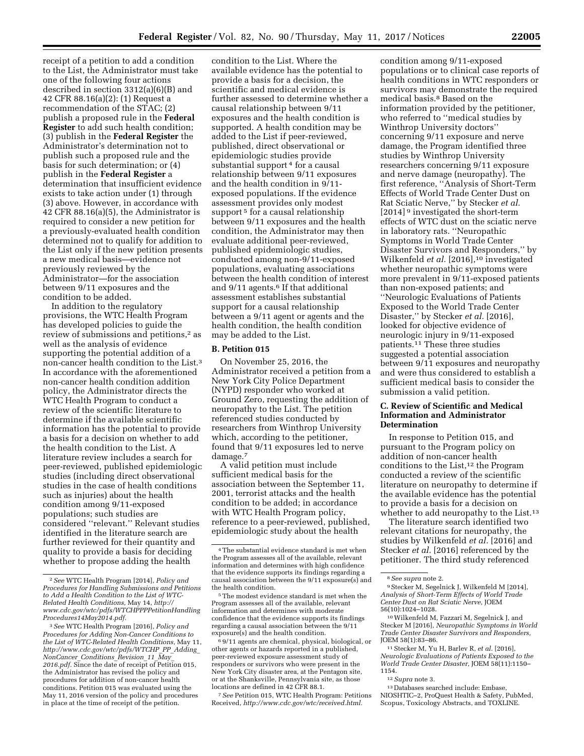receipt of a petition to add a condition to the List, the Administrator must take one of the following four actions described in section 3312(a)(6)(B) and 42 CFR 88.16(a)(2): (1) Request a recommendation of the STAC; (2) publish a proposed rule in the **Federal Register** to add such health condition; (3) publish in the **Federal Register** the Administrator's determination not to publish such a proposed rule and the basis for such determination; or (4) publish in the **Federal Register** a determination that insufficient evidence exists to take action under (1) through (3) above. However, in accordance with 42 CFR 88.16(a)(5), the Administrator is required to consider a new petition for a previously-evaluated health condition determined not to qualify for addition to the List only if the new petition presents a new medical basis—evidence not previously reviewed by the Administrator—for the association between 9/11 exposures and the condition to be added.

In addition to the regulatory provisions, the WTC Health Program has developed policies to guide the review of submissions and petitions,<sup>2</sup> as well as the analysis of evidence supporting the potential addition of a non-cancer health condition to the List.3 In accordance with the aforementioned non-cancer health condition addition policy, the Administrator directs the WTC Health Program to conduct a review of the scientific literature to determine if the available scientific information has the potential to provide a basis for a decision on whether to add the health condition to the List. A literature review includes a search for peer-reviewed, published epidemiologic studies (including direct observational studies in the case of health conditions such as injuries) about the health condition among 9/11-exposed populations; such studies are considered ''relevant.'' Relevant studies identified in the literature search are further reviewed for their quantity and quality to provide a basis for deciding whether to propose adding the health

condition to the List. Where the available evidence has the potential to provide a basis for a decision, the scientific and medical evidence is further assessed to determine whether a causal relationship between 9/11 exposures and the health condition is supported. A health condition may be added to the List if peer-reviewed, published, direct observational or epidemiologic studies provide substantial support<sup>4</sup> for a causal relationship between 9/11 exposures and the health condition in 9/11 exposed populations. If the evidence assessment provides only modest support<sup>5</sup> for a causal relationship between 9/11 exposures and the health condition, the Administrator may then evaluate additional peer-reviewed, published epidemiologic studies, conducted among non-9/11-exposed populations, evaluating associations between the health condition of interest and 9/11 agents.<sup>6</sup> If that additional assessment establishes substantial support for a causal relationship between a 9/11 agent or agents and the health condition, the health condition may be added to the List.

#### **B. Petition 015**

On November 25, 2016, the Administrator received a petition from a New York City Police Department (NYPD) responder who worked at Ground Zero, requesting the addition of neuropathy to the List. The petition referenced studies conducted by researchers from Winthrop University which, according to the petitioner, found that 9/11 exposures led to nerve damage.7

A valid petition must include sufficient medical basis for the association between the September 11, 2001, terrorist attacks and the health condition to be added; in accordance with WTC Health Program policy, reference to a peer-reviewed, published, epidemiologic study about the health

<sup>5</sup> The modest evidence standard is met when the Program assesses all of the available, relevant information and determines with moderate confidence that the evidence supports its findings regarding a causal association between the 9/11 exposure(s) and the health condition.

6 9/11 agents are chemical, physical, biological, or other agents or hazards reported in a published, peer-reviewed exposure assessment study of responders or survivors who were present in the New York City disaster area, at the Pentagon site, or at the Shanksville, Pennsylvania site, as those locations are defined in 42 CFR 88.1.

7*See* Petition 015, WTC Health Program: Petitions Received, *[http://www.cdc.gov/wtc/received.html.](http://www.cdc.gov/wtc/received.html)* 

condition among 9/11-exposed populations or to clinical case reports of health conditions in WTC responders or survivors may demonstrate the required medical basis.8 Based on the information provided by the petitioner, who referred to ''medical studies by Winthrop University doctors'' concerning 9/11 exposure and nerve damage, the Program identified three studies by Winthrop University researchers concerning 9/11 exposure and nerve damage (neuropathy). The first reference, ''Analysis of Short-Term Effects of World Trade Center Dust on Rat Sciatic Nerve,'' by Stecker *et al.*  [2014] 9 investigated the short-term effects of WTC dust on the sciatic nerve in laboratory rats. ''Neuropathic Symptoms in World Trade Center Disaster Survivors and Responders,'' by Wilkenfeld *et al.* [2016],<sup>10</sup> investigated whether neuropathic symptoms were more prevalent in 9/11-exposed patients than non-exposed patients; and ''Neurologic Evaluations of Patients Exposed to the World Trade Center Disaster," by Stecker *et al.* [2016], looked for objective evidence of neurologic injury in 9/11-exposed patients.11 These three studies suggested a potential association between 9/11 exposures and neuropathy and were thus considered to establish a sufficient medical basis to consider the submission a valid petition.

#### **C. Review of Scientific and Medical Information and Administrator Determination**

In response to Petition 015, and pursuant to the Program policy on addition of non-cancer health conditions to the List, $12$  the Program conducted a review of the scientific literature on neuropathy to determine if the available evidence has the potential to provide a basis for a decision on whether to add neuropathy to the List.<sup>13</sup>

The literature search identified two relevant citations for neuropathy, the studies by Wilkenfeld *et al.* [2016] and Stecker *et al.* [2016] referenced by the petitioner. The third study referenced

<sup>8</sup> See supra note 2.<br><sup>9</sup> Stecker M, Segelnick J, Wilkenfeld M [2014], *Analysis of Short-Term Effects of World Trade Center Dust on Rat Sciatic Nerve,* JOEM

<sup>10</sup> Wilkenfeld M, Fazzari M, Segelnick J, and Stecker M [2016], *Neuropathic Symptoms in World Trade Center Disaster Survivors and Responders,* 

<sup>2</sup>*See* WTC Health Program [2014], *Policy and Procedures for Handling Submissions and Petitions to Add a Health Condition to the List of WTC-Related Health Conditions,* May 14, *[http://](http://www.cdc.gov/wtc/pdfs/WTCHPPPPetitionHandlingProcedures14May2014.pdf) [www.cdc.gov/wtc/pdfs/WTCHPPPPetitionHandling](http://www.cdc.gov/wtc/pdfs/WTCHPPPPetitionHandlingProcedures14May2014.pdf) [Procedures14May2014.pdf.](http://www.cdc.gov/wtc/pdfs/WTCHPPPPetitionHandlingProcedures14May2014.pdf)* 

<sup>3</sup>*See* WTC Health Program [2016], *Policy and Procedures for Adding Non-Cancer Conditions to the List of WTC-Related Health Conditions,* May 11, *[http://www.cdc.gov/wtc/pdfs/WTCHP](http://www.cdc.gov/wtc/pdfs/WTCHP_PP_Adding_NonCancer_Conditions_Revision_11_May_2016.pdf)*\_*PP*\_*Adding*\_ *[NonCancer](http://www.cdc.gov/wtc/pdfs/WTCHP_PP_Adding_NonCancer_Conditions_Revision_11_May_2016.pdf)*\_*Conditions*\_*Revision*\_*11*\_*May*\_ *[2016.pdf.](http://www.cdc.gov/wtc/pdfs/WTCHP_PP_Adding_NonCancer_Conditions_Revision_11_May_2016.pdf)* Since the date of receipt of Petition 015, the Administrator has revised the policy and procedures for addition of non-cancer health conditions. Petition 015 was evaluated using the May 11, 2016 version of the policy and procedures in place at the time of receipt of the petition.

<sup>4</sup>The substantial evidence standard is met when the Program assesses all of the available, relevant information and determines with high confidence that the evidence supports its findings regarding a causal association between the 9/11 exposure(s) and

<sup>11</sup> Stecker M, Yu H, Barlev R, *et al.* [2016], *Neurologic Evaluations of Patients Exposed to the World Trade Center Disaster,* JOEM 58(11):1150– 1154.

<sup>12</sup>*Supra* note 3.

<sup>13</sup> Databases searched include: Embase, NIOSHTIC–2, ProQuest Health & Safety, PubMed, Scopus, Toxicology Abstracts, and TOXLINE.